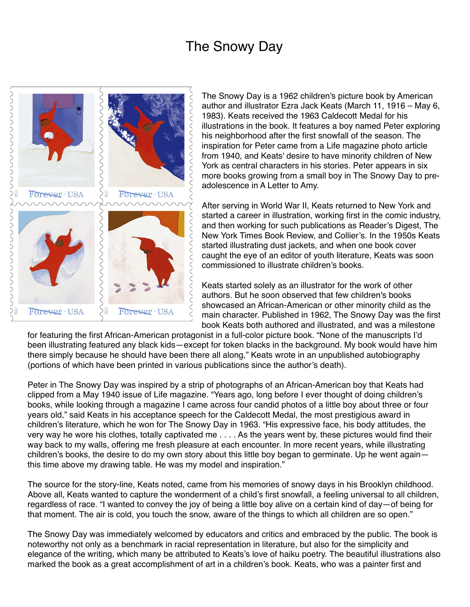## The Snowy Day



The Snowy Day is a 1962 children's picture book by American author and illustrator Ezra Jack Keats (March 11, 1916 – May 6, 1983). Keats received the 1963 Caldecott Medal for his illustrations in the book. It features a boy named Peter exploring his neighborhood after the first snowfall of the season. The inspiration for Peter came from a Life magazine photo article from 1940, and Keats' desire to have minority children of New York as central characters in his stories. Peter appears in six more books growing from a small boy in The Snowy Day to preadolescence in A Letter to Amy.

After serving in World War II, Keats returned to New York and started a career in illustration, working first in the comic industry, and then working for such publications as Reader's Digest, The New York Times Book Review, and Collier's. In the 1950s Keats started illustrating dust jackets, and when one book cover caught the eye of an editor of youth literature, Keats was soon commissioned to illustrate children's books.

Keats started solely as an illustrator for the work of other authors. But he soon observed that few children's books showcased an African-American or other minority child as the main character. Published in 1962, The Snowy Day was the first book Keats both authored and illustrated, and was a milestone

for featuring the first African-American protagonist in a full-color picture book. "None of the manuscripts I'd been illustrating featured any black kids—except for token blacks in the background. My book would have him there simply because he should have been there all along," Keats wrote in an unpublished autobiography (portions of which have been printed in various publications since the author's death).

Peter in The Snowy Day was inspired by a strip of photographs of an African-American boy that Keats had clipped from a May 1940 issue of Life magazine. "Years ago, long before I ever thought of doing children's books, while looking through a magazine I came across four candid photos of a little boy about three or four years old," said Keats in his acceptance speech for the Caldecott Medal, the most prestigious award in children's literature, which he won for The Snowy Day in 1963. "His expressive face, his body attitudes, the very way he wore his clothes, totally captivated me . . . . As the years went by, these pictures would find their way back to my walls, offering me fresh pleasure at each encounter. In more recent years, while illustrating children's books, the desire to do my own story about this little boy began to germinate. Up he went again this time above my drawing table. He was my model and inspiration."

The source for the story-line, Keats noted, came from his memories of snowy days in his Brooklyn childhood. Above all, Keats wanted to capture the wonderment of a child's first snowfall, a feeling universal to all children, regardless of race. "I wanted to convey the joy of being a little boy alive on a certain kind of day—of being for that moment. The air is cold, you touch the snow, aware of the things to which all children are so open."

The Snowy Day was immediately welcomed by educators and critics and embraced by the public. The book is noteworthy not only as a benchmark in racial representation in literature, but also for the simplicity and elegance of the writing, which many be attributed to Keats's love of haiku poetry. The beautiful illustrations also marked the book as a great accomplishment of art in a children's book. Keats, who was a painter first and